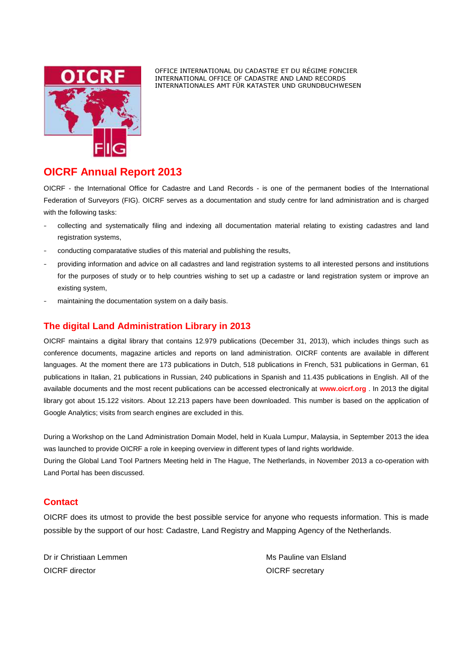

OFFICE INTERNATIONAL DU CADASTRE ET DU RÉGIME FONCIER INTERNATIONAL OFFICE OF CADASTRE AND LAND RECORDS INTERNATIONALES AMT FÜR KATASTER UND GRUNDBUCHWESEN

## **OICRF Annual Report 2013**

OICRF - the International Office for Cadastre and Land Records - is one of the permanent bodies of the International Federation of Surveyors (FIG). OICRF serves as a documentation and study centre for land administration and is charged with the following tasks:

- collecting and systematically filing and indexing all documentation material relating to existing cadastres and land registration systems,
- conducting comparatative studies of this material and publishing the results,
- providing information and advice on all cadastres and land registration systems to all interested persons and institutions for the purposes of study or to help countries wishing to set up a cadastre or land registration system or improve an existing system,
- maintaining the documentation system on a daily basis.

## **The digital Land Administration Library in 2013**

OICRF maintains a digital library that contains 12.979 publications (December 31, 2013), which includes things such as conference documents, magazine articles and reports on land administration. OICRF contents are available in different languages. At the moment there are 173 publications in Dutch, 518 publications in French, 531 publications in German, 61 publications in Italian, 21 publications in Russian, 240 publications in Spanish and 11.435 publications in English. All of the available documents and the most recent publications can be accessed electronically at **www.oicrf.org** . In 2013 the digital library got about 15.122 visitors. About 12.213 papers have been downloaded. This number is based on the application of Google Analytics; visits from search engines are excluded in this.

During a Workshop on the Land Administration Domain Model, held in Kuala Lumpur, Malaysia, in September 2013 the idea was launched to provide OICRF a role in keeping overview in different types of land rights worldwide. During the Global Land Tool Partners Meeting held in The Hague, The Netherlands, in November 2013 a co-operation with

## **Contact**

OICRF does its utmost to provide the best possible service for anyone who requests information. This is made possible by the support of our host: Cadastre, Land Registry and Mapping Agency of the Netherlands.

Dr ir Christiaan Lemmen Ms Pauline van Elsland OICRF director **OICRF** secretary

Land Portal has been discussed.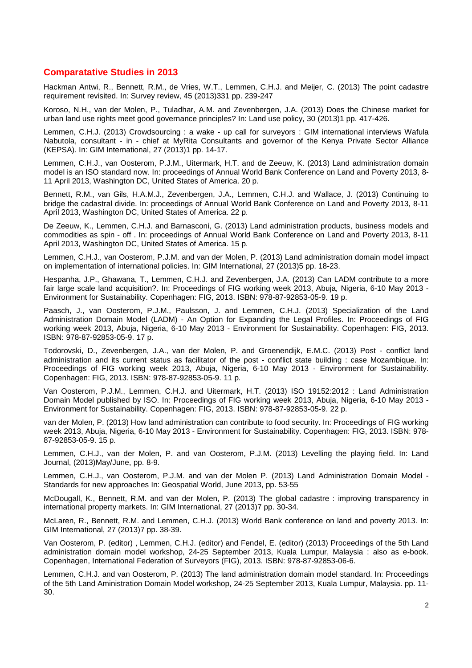## **Comparatative Studies in 2013**

Hackman Antwi, R., Bennett, R.M., de Vries, W.T., Lemmen, C.H.J. and Meijer, C. (2013) The point cadastre requirement revisited. In: Survey review, 45 (2013)331 pp. 239-247

Koroso, N.H., van der Molen, P., Tuladhar, A.M. and Zevenbergen, J.A. (2013) Does the Chinese market for urban land use rights meet good governance principles? In: Land use policy, 30 (2013)1 pp. 417-426.

Lemmen, C.H.J. (2013) Crowdsourcing : a wake - up call for surveyors : GIM international interviews Wafula Nabutola, consultant - in - chief at MyRita Consultants and governor of the Kenya Private Sector Alliance (KEPSA). In: GIM International, 27 (2013)1 pp. 14-17.

Lemmen, C.H.J., van Oosterom, P.J.M., Uitermark, H.T. and de Zeeuw, K. (2013) Land administration domain model is an ISO standard now. In: proceedings of Annual World Bank Conference on Land and Poverty 2013, 8- 11 April 2013, Washington DC, United States of America. 20 p.

Bennett, R.M., van Gils, H.A.M.J., Zevenbergen, J.A., Lemmen, C.H.J. and Wallace, J. (2013) Continuing to bridge the cadastral divide. In: proceedings of Annual World Bank Conference on Land and Poverty 2013, 8-11 April 2013, Washington DC, United States of America. 22 p.

De Zeeuw, K., Lemmen, C.H.J. and Barnasconi, G. (2013) Land administration products, business models and commodities as spin - off . In: proceedings of Annual World Bank Conference on Land and Poverty 2013, 8-11 April 2013, Washington DC, United States of America. 15 p.

Lemmen, C.H.J., van Oosterom, P.J.M. and van der Molen, P. (2013) Land administration domain model impact on implementation of international policies. In: GIM International, 27 (2013)5 pp. 18-23.

Hespanha, J.P., Ghawana, T., Lemmen, C.H.J. and Zevenbergen, J.A. (2013) Can LADM contribute to a more fair large scale land acquisition?. In: Proceedings of FIG working week 2013, Abuja, Nigeria, 6-10 May 2013 - Environment for Sustainability. Copenhagen: FIG, 2013. ISBN: 978-87-92853-05-9. 19 p.

Paasch, J., van Oosterom, P.J.M., Paulsson, J. and Lemmen, C.H.J. (2013) Specialization of the Land Administration Domain Model (LADM) - An Option for Expanding the Legal Profiles. In: Proceedings of FIG working week 2013, Abuja, Nigeria, 6-10 May 2013 - Environment for Sustainability. Copenhagen: FIG, 2013. ISBN: 978-87-92853-05-9. 17 p.

Todorovski, D., Zevenbergen, J.A., van der Molen, P. and Groenendijk, E.M.C. (2013) Post - conflict land administration and its current status as facilitator of the post - conflict state building : case Mozambique. In: Proceedings of FIG working week 2013, Abuja, Nigeria, 6-10 May 2013 - Environment for Sustainability. Copenhagen: FIG, 2013. ISBN: 978-87-92853-05-9. 11 p.

Van Oosterom, P.J.M., Lemmen, C.H.J. and Uitermark, H.T. (2013) ISO 19152:2012 : Land Administration Domain Model published by ISO. In: Proceedings of FIG working week 2013, Abuja, Nigeria, 6-10 May 2013 - Environment for Sustainability. Copenhagen: FIG, 2013. ISBN: 978-87-92853-05-9. 22 p.

van der Molen, P. (2013) How land administration can contribute to food security. In: Proceedings of FIG working week 2013, Abuja, Nigeria, 6-10 May 2013 - Environment for Sustainability. Copenhagen: FIG, 2013. ISBN: 978- 87-92853-05-9. 15 p.

Lemmen, C.H.J., van der Molen, P. and van Oosterom, P.J.M. (2013) Levelling the playing field. In: Land Journal, (2013)May/June, pp. 8-9.

Lemmen, C.H.J., van Oosterom, P.J.M. and van der Molen P. (2013) Land Administration Domain Model - Standards for new approaches In: Geospatial World, June 2013, pp. 53-55

McDougall, K., Bennett, R.M. and van der Molen, P. (2013) The global cadastre : improving transparency in international property markets. In: GIM International, 27 (2013)7 pp. 30-34.

McLaren, R., Bennett, R.M. and Lemmen, C.H.J. (2013) World Bank conference on land and poverty 2013. In: GIM International, 27 (2013)7 pp. 38-39.

Van Oosterom, P. (editor) , Lemmen, C.H.J. (editor) and Fendel, E. (editor) (2013) Proceedings of the 5th Land administration domain model workshop, 24-25 September 2013, Kuala Lumpur, Malaysia : also as e-book. Copenhagen, International Federation of Surveyors (FIG), 2013. ISBN: 978-87-92853-06-6.

Lemmen, C.H.J. and van Oosterom, P. (2013) The land administration domain model standard. In: Proceedings of the 5th Land Aministration Domain Model workshop, 24-25 September 2013, Kuala Lumpur, Malaysia. pp. 11- 30.